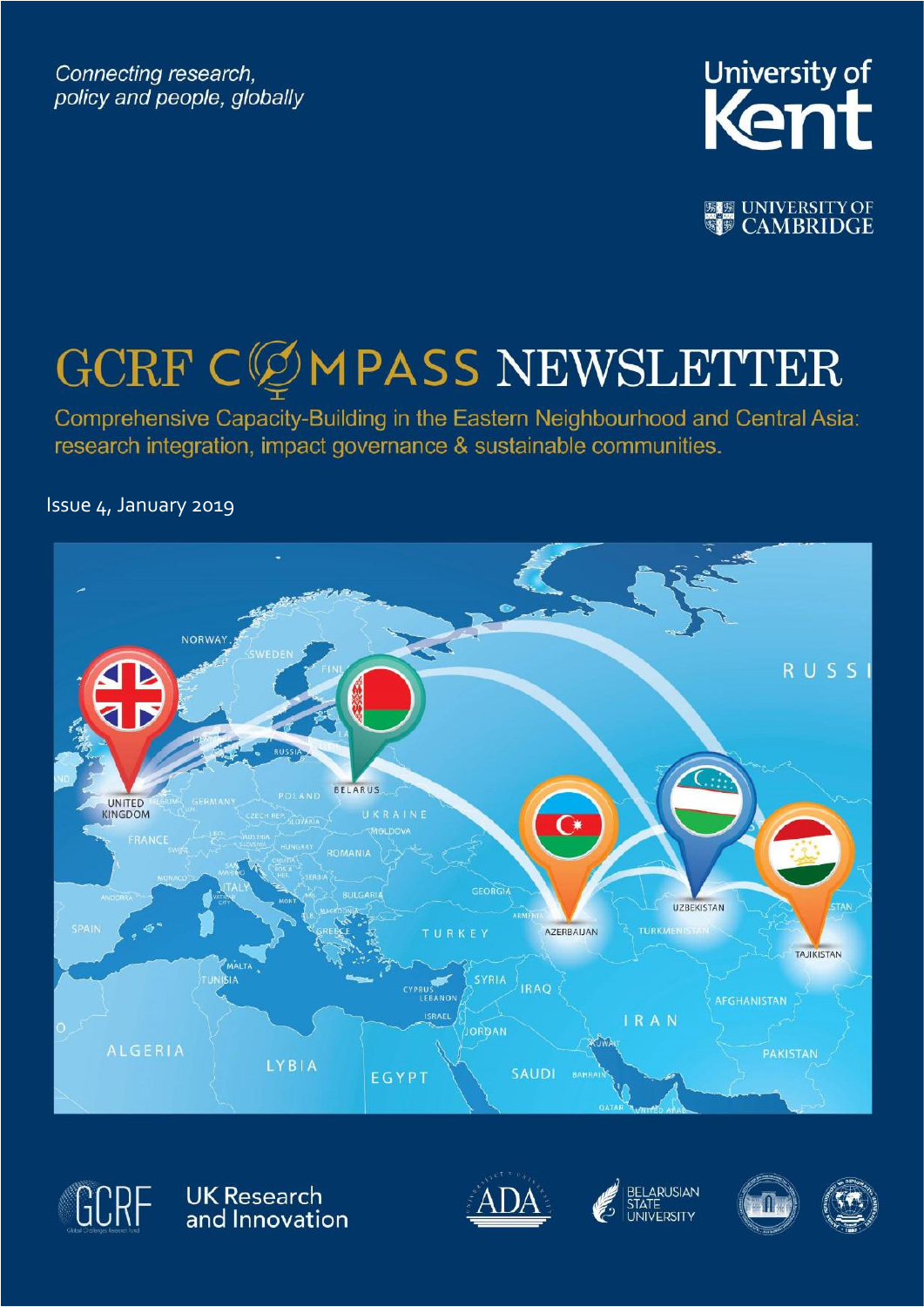Connecting research, policy and people, globally



**ELE UNIVERSITY OF** 

# **GCRF CØMPASS NEWSLETTER**

Comprehensive Capacity-Building in the Eastern Neighbourhood and Central Asia: research integration, impact governance & sustainable communities.

Issue 4, January 2019





UK Research<br>and Innovation



ARUSIAN



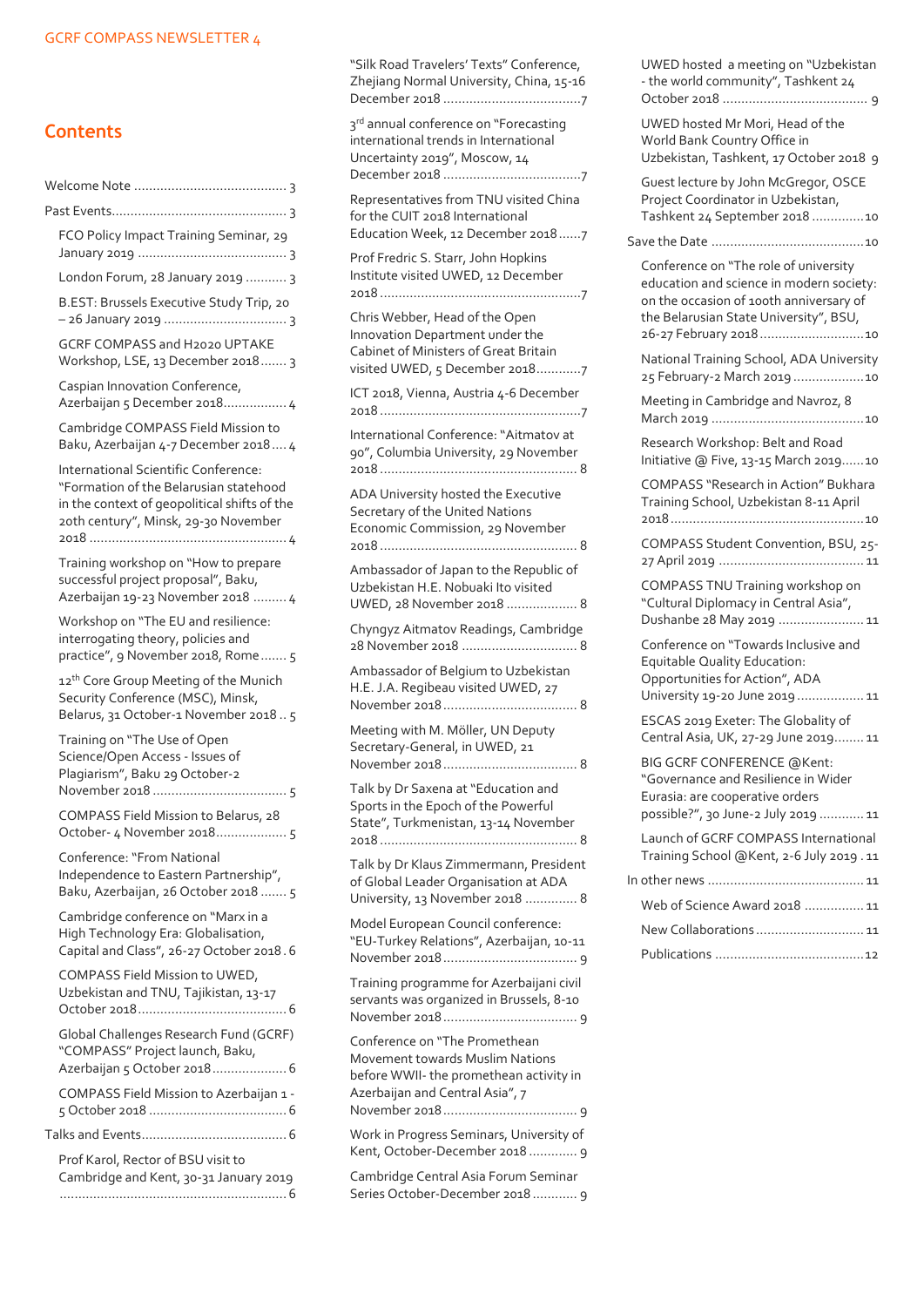### **Contents**

|  | FCO Policy Impact Training Seminar, 29                                                                                                                                 |  |  |  |  |
|--|------------------------------------------------------------------------------------------------------------------------------------------------------------------------|--|--|--|--|
|  | London Forum, 28 January 2019  3                                                                                                                                       |  |  |  |  |
|  | B.EST: Brussels Executive Study Trip, 20                                                                                                                               |  |  |  |  |
|  | GCRF COMPASS and H2020 UPTAKE<br>Workshop, LSE, 13 December 2018 3                                                                                                     |  |  |  |  |
|  | Caspian Innovation Conference,<br>Azerbaijan 5 December 2018 4                                                                                                         |  |  |  |  |
|  | Cambridge COMPASS Field Mission to<br>Baku, Azerbaijan 4-7 December 2018 4                                                                                             |  |  |  |  |
|  | International Scientific Conference:<br>"Formation of the Belarusian statehood<br>in the context of geopolitical shifts of the<br>20th century", Minsk, 29-30 November |  |  |  |  |
|  | Training workshop on "How to prepare<br>successful project proposal", Baku,<br>Azerbaijan 19-23 November 2018  4                                                       |  |  |  |  |
|  | Workshop on "The EU and resilience:<br>interrogating theory, policies and<br>practice", 9 November 2018, Rome 5                                                        |  |  |  |  |
|  | 12 <sup>th</sup> Core Group Meeting of the Munich<br>Security Conference (MSC), Minsk,<br>Belarus, 31 October-1 November 20185                                         |  |  |  |  |
|  | Training on "The Use of Open<br>Science/Open Access - Issues of<br>Plagiarism", Baku 29 October-2                                                                      |  |  |  |  |
|  | COMPASS Field Mission to Belarus, 28<br>October- 4 November 2018 5                                                                                                     |  |  |  |  |
|  | Conference: "From National<br>Independence to Eastern Partnership",<br>Baku, Azerbaijan, 26 October 2018  5                                                            |  |  |  |  |
|  | Cambridge conference on "Marx in a<br>High Technology Era: Globalisation,<br>Capital and Class", 26-27 October 2018.6                                                  |  |  |  |  |
|  | COMPASS Field Mission to UWED,<br>Uzbekistan and TNU, Tajikistan, 13-17                                                                                                |  |  |  |  |
|  | Global Challenges Research Fund (GCRF)<br>"COMPASS" Project launch, Baku,<br>Azerbaijan 5 October 2018 6                                                               |  |  |  |  |
|  | COMPASS Field Mission to Azerbaijan 1 -                                                                                                                                |  |  |  |  |
|  |                                                                                                                                                                        |  |  |  |  |
|  | Prof Karol, Rector of BSU visit to<br>Cambridge and Kent, 30-31 January 2019                                                                                           |  |  |  |  |
|  |                                                                                                                                                                        |  |  |  |  |

["Silk Road Travelers' Texts" Conference,](#page-6-0)  [Zhejiang Normal University, China, 15-16](#page-6-0)  December 2018 [.....................................7](#page-6-0)

3<sup>rd</sup> annual conference on "Forecasting [international trends in International](#page-6-1)  [Uncertainty 2019", Moscow, 14](#page-6-1)  December 2018 [.....................................7](#page-6-1)

[Representatives from](#page-6-2) TNU visited China [for the CUIT 2018 International](#page-6-2)  [Education Week, 12 December 2018......7](#page-6-2)

[Prof Fredric S. Starr, John Hopkins](#page-6-3)  [Institute visited UWED, 12 December](#page-6-3)  2018 [......................................................7](#page-6-3)

[Chris Webber, Head of the Open](#page-6-4)  [Innovation Department under the](#page-6-4)  [Cabinet of Ministers of Great Britain](#page-6-4)  [visited UWED, 5 December 2018............7](#page-6-4)

[ICT 2018, Vienna, Austria 4-6 December](#page-6-5)  2018 [......................................................7](#page-6-5)

[International Conference: "Aitmatov at](#page-7-0)  [90", Columbia University, 29 November](#page-7-0)  2018 [.....................................................](#page-7-0) 8

[ADA University hosted the Executive](#page-7-1)  [Secretary of the United Nations](#page-7-1)  [Economic Commission, 29 November](#page-7-1)  2018 [.....................................................](#page-7-1) 8

[Ambassador of Japan to the Republic of](#page-7-2)  [Uzbekistan H.E. Nobuaki Ito visited](#page-7-2)  [UWED, 28 November 2018](#page-7-2) ................... 8

[Chyngyz Aitmatov Readings, Cambridge](#page-7-3)  28 November 2018 [...............................](#page-7-3) 8

[Ambassador of Belgium to Uzbekistan](#page-7-4)  [H.E. J.A. Regibeau visited UWED, 27](#page-7-4)  [November 2018....................................](#page-7-4) 8

[Meeting with M. Möller, UN Deputy](#page-7-5)  [Secretary-General, in UWED, 21](#page-7-5)  [November 2018....................................](#page-7-5) 8

[Talk by Dr Saxena at "Education and](#page-7-6)  [Sports in the Epoch of the Powerful](#page-7-6)  [State", Turkmenistan, 13](#page-7-6)-14 November 2018 [.....................................................](#page-7-6) 8

[Talk by Dr Klaus Zimmermann, President](#page-7-7)  [of Global Leader Organisation at ADA](#page-7-7)  [University, 13 November 2018](#page-7-7) .............. 8

[Model European Council conference:](#page-8-0)  "EU-[Turkey Relations", Azerbaijan, 10](#page-8-0)-11 [November 2018....................................](#page-8-0) 9

[Training programme for Azerbaijani civil](#page-8-1)  [servants was organized in Brussels, 8-10](#page-8-1)  [November 2018....................................](#page-8-1) 9

[Conference on "The Promethean](#page-8-2)  [Movement towards Muslim Nations](#page-8-2)  before WWII- [the promethean activity in](#page-8-2)  [Azerbaijan and Central Asia", 7](#page-8-2)  [November 2018....................................](#page-8-2) 9

[Work in Progress Seminars, University of](#page-8-3)  [Kent, October-December 2018](#page-8-3) ............. 9

[Cambridge Central Asia Forum Seminar](#page-8-4)  [Series October-December 2018](#page-8-4) ............ 9

| - the world community", Tashkent 24                                                                                                                                                              |  |  |  |  |  |
|--------------------------------------------------------------------------------------------------------------------------------------------------------------------------------------------------|--|--|--|--|--|
| UWED hosted Mr Mori, Head of the<br>World Bank Country Office in<br>Uzbekistan, Tashkent, 17 October 2018 9                                                                                      |  |  |  |  |  |
| Guest lecture by John McGregor, OSCE<br>Project Coordinator in Uzbekistan,<br>Tashkent 24 September 2018  10                                                                                     |  |  |  |  |  |
|                                                                                                                                                                                                  |  |  |  |  |  |
| Conference on "The role of university<br>education and science in modern society:<br>on the occasion of 100th anniversary of<br>the Belarusian State University", BSU,<br>26-27 February 2018 10 |  |  |  |  |  |
| National Training School, ADA University<br>25 February-2 March 2019 10                                                                                                                          |  |  |  |  |  |
| Meeting in Cambridge and Navroz, 8                                                                                                                                                               |  |  |  |  |  |
| Research Workshop: Belt and Road<br>Initiative @ Five, 13-15 March 201910                                                                                                                        |  |  |  |  |  |
| <b>COMPASS "Research in Action" Bukhara</b><br>Training School, Uzbekistan 8-11 April                                                                                                            |  |  |  |  |  |
| COMPASS Student Convention, BSU, 25-                                                                                                                                                             |  |  |  |  |  |
| COMPASS TNU Training workshop on<br>"Cultural Diplomacy in Central Asia",<br>Dushanbe 28 May 2019  11                                                                                            |  |  |  |  |  |
| Conference on "Towards Inclusive and<br>Equitable Quality Education:<br>Opportunities for Action", ADA<br>University 19-20 June 2019  11                                                         |  |  |  |  |  |
| ESCAS 2019 Exeter: The Globality of<br>Central Asia, UK, 27-29 June 2019 11                                                                                                                      |  |  |  |  |  |
| BIG GCRF CONFERENCE @Kent:<br>"Governance and Resilience in Wider<br>Eurasia: are cooperative orders<br>possible?", 30 June-2 July 2019  11                                                      |  |  |  |  |  |
| Launch of GCRF COMPASS International<br>Training School @Kent, 2-6 July 2019.11                                                                                                                  |  |  |  |  |  |
|                                                                                                                                                                                                  |  |  |  |  |  |
| Web of Science Award 2018  11                                                                                                                                                                    |  |  |  |  |  |
| New Collaborations  11                                                                                                                                                                           |  |  |  |  |  |
|                                                                                                                                                                                                  |  |  |  |  |  |

[UWED hosted a meeting on "Uzbekistan](#page-8-5)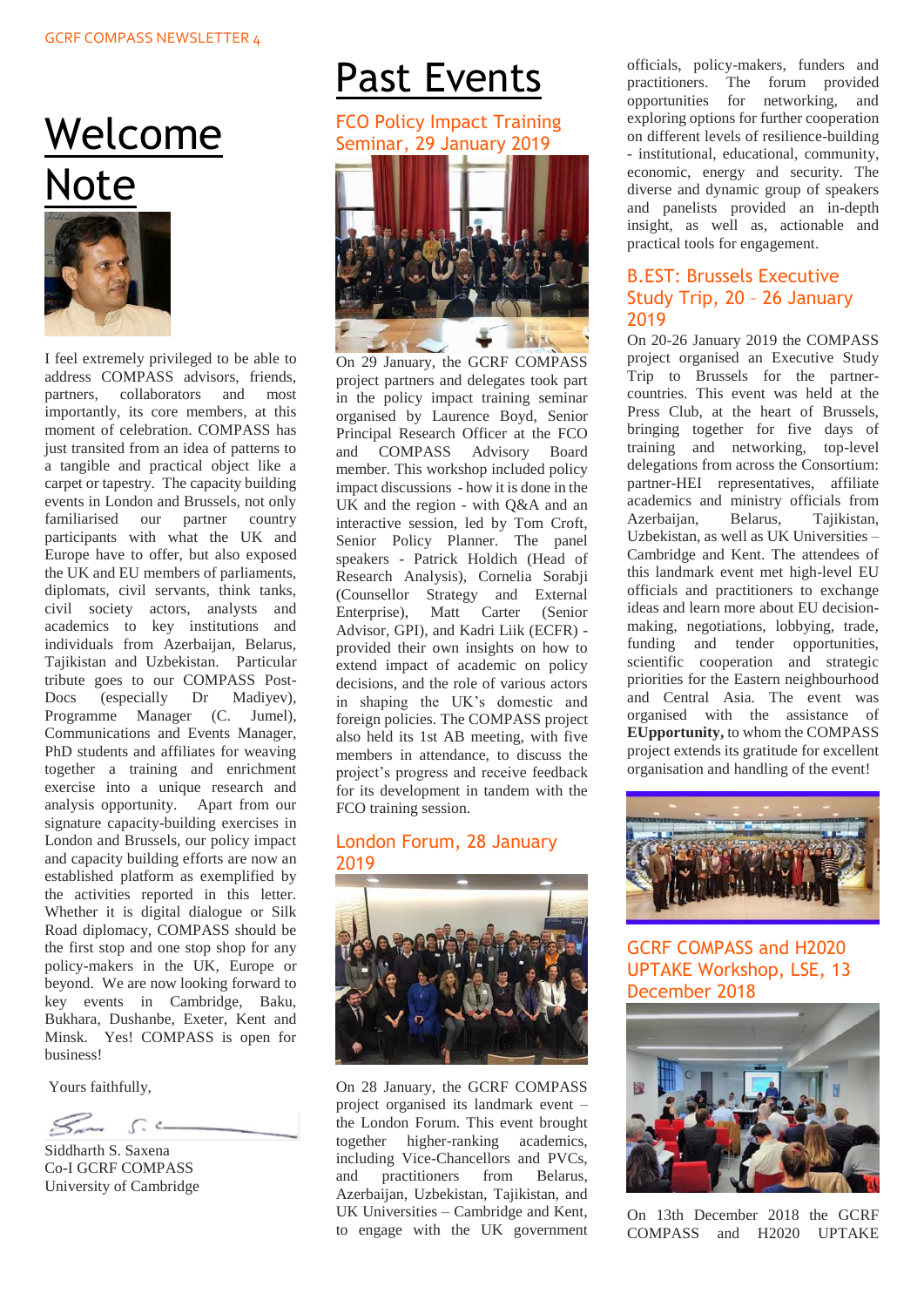## <span id="page-2-0"></span>Welcome Note



I feel extremely privileged to be able to address COMPASS advisors, friends, partners, collaborators and most importantly, its core members, at this moment of celebration. COMPASS has just transited from an idea of patterns to a tangible and practical object like a carpet or tapestry. The capacity building events in London and Brussels, not only familiarised our partner country participants with what the UK and Europe have to offer, but also exposed the UK and EU members of parliaments, diplomats, civil servants, think tanks, civil society actors, analysts and academics to key institutions and individuals from Azerbaijan, Belarus, Tajikistan and Uzbekistan. Particular tribute goes to our COMPASS Post-Docs (especially Dr Madiyev), Programme Manager (C. Jumel), Communications and Events Manager, PhD students and affiliates for weaving together a training and enrichment exercise into a unique research and analysis opportunity. Apart from our signature capacity-building exercises in London and Brussels, our policy impact and capacity building efforts are now an established platform as exemplified by the activities reported in this letter. Whether it is digital dialogue or Silk Road diplomacy, COMPASS should be the first stop and one stop shop for any policy-makers in the UK, Europe or beyond. We are now looking forward to key events in Cambridge, Baku, Bukhara, Dushanbe, Exeter, Kent and Minsk. Yes! COMPASS is open for business!

Yours faithfully,

 $C \leftarrow$ 

Siddharth S. Saxena Co-I GCRF COMPASS University of Cambridge

## <span id="page-2-1"></span>Past Events

#### <span id="page-2-2"></span>FCO Policy Impact Training Seminar, 29 January 2019



On 29 January, the GCRF COMPASS project partners and delegates took part in the policy impact training seminar organised by Laurence Boyd, Senior Principal Research Officer at the FCO and COMPASS Advisory Board member. This workshop included policy impact discussions - how it is done in the UK and the region - with  $O&A$  and an interactive session, led by Tom Croft, Senior Policy Planner. The panel speakers - Patrick Holdich (Head of Research Analysis), Cornelia Sorabji (Counsellor Strategy and External Enterprise), Matt Carter (Senior Advisor, GPI), and Kadri Liik (ECFR) provided their own insights on how to extend impact of academic on policy decisions, and the role of various actors in shaping the UK's domestic and foreign policies. The COMPASS project also held its 1st AB meeting, with five members in attendance, to discuss the project's progress and receive feedback for its development in tandem with the FCO training session.

#### <span id="page-2-3"></span>London Forum, 28 January 2019



On 28 January, the GCRF COMPASS project organised its landmark event – the London Forum. This event brought together higher-ranking academics, including Vice-Chancellors and PVCs, and practitioners from Belarus, Azerbaijan, Uzbekistan, Tajikistan, and UK Universities – Cambridge and Kent, to engage with the UK government officials, policy-makers, funders and practitioners. The forum provided opportunities for networking, and exploring options for further cooperation on different levels of resilience-building - institutional, educational, community, economic, energy and security. The diverse and dynamic group of speakers and panelists provided an in-depth insight, as well as, actionable and practical tools for engagement.

#### <span id="page-2-4"></span>B.EST: Brussels Executive Study Trip, 20 – 26 January 2019

On 20-26 January 2019 the COMPASS project organised an Executive Study Trip to Brussels for the partnercountries. This event was held at the Press Club, at the heart of Brussels, bringing together for five days of training and networking, top-level delegations from across the Consortium: partner-HEI representatives, affiliate academics and ministry officials from Azerbaijan, Belarus, Tajikistan, Uzbekistan, as well as UK Universities – Cambridge and Kent. The attendees of this landmark event met high-level EU officials and practitioners to exchange ideas and learn more about EU decisionmaking, negotiations, lobbying, trade, funding and tender opportunities, scientific cooperation and strategic priorities for the Eastern neighbourhood and Central Asia. The event was organised with the assistance of **EUpportunity,** to whom the COMPASS project extends its gratitude for excellent organisation and handling of the event!



GCRF COMPASS and H2020 UPTAKE Workshop, LSE, 13 December 2018

<span id="page-2-5"></span>

On 13th December 2018 the GCRF COMPASS and H2020 UPTAKE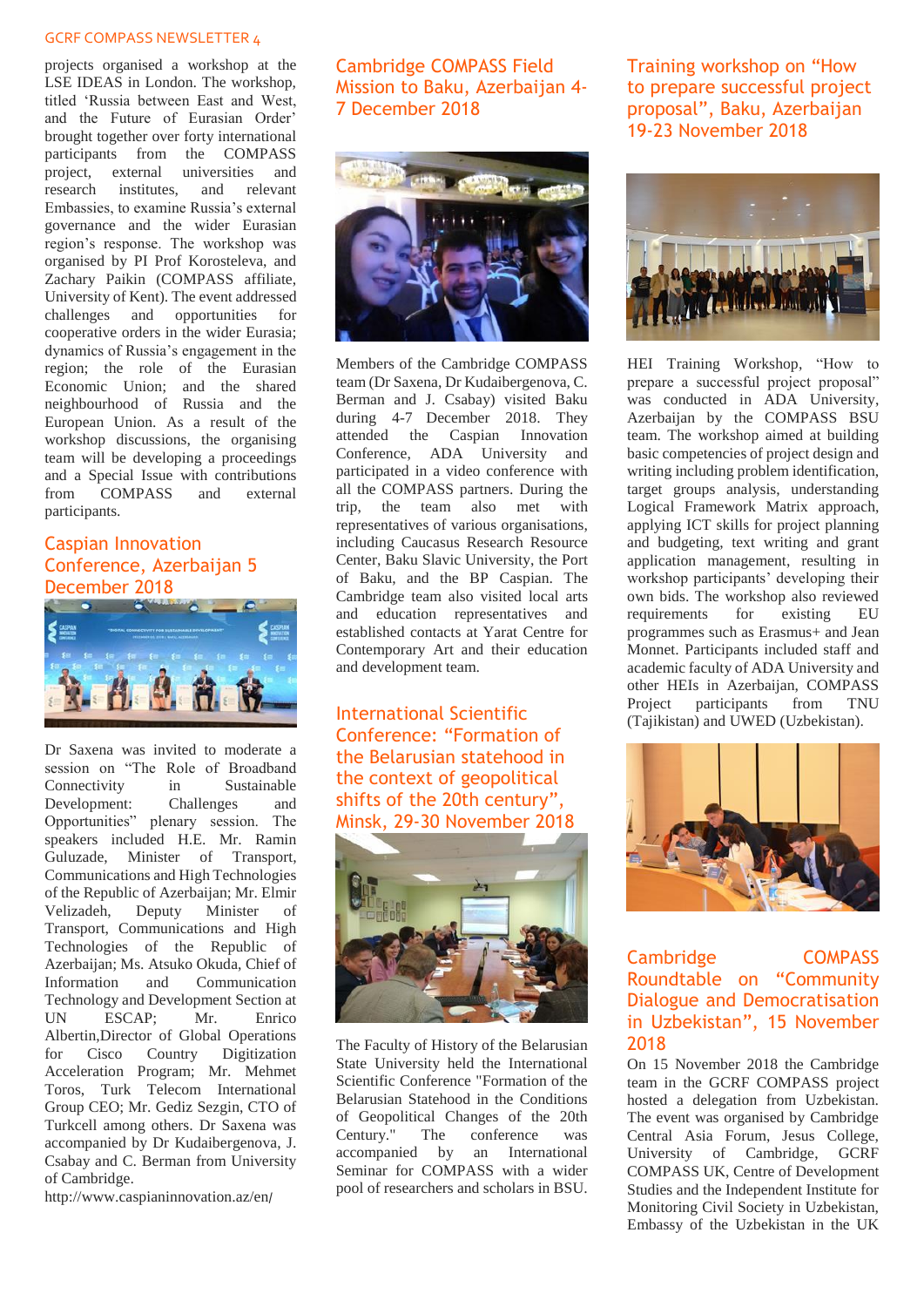projects organised a workshop at the LSE IDEAS in London. The workshop, titled 'Russia between East and West, and the Future of Eurasian Order' brought together over forty international participants from the COMPASS project, external universities and research institutes, and relevant Embassies, to examine Russia's external governance and the wider Eurasian region's response. The workshop was organised by PI Prof Korosteleva, and Zachary Paikin (COMPASS affiliate, University of Kent). The event addressed challenges and opportunities for cooperative orders in the wider Eurasia; dynamics of Russia's engagement in the region; the role of the Eurasian Economic Union; and the shared neighbourhood of Russia and the European Union. As a result of the workshop discussions, the organising team will be developing a proceedings and a Special Issue with contributions<br>from COMPASS and external from COMPASS and external participants.

## <span id="page-3-0"></span>Caspian Innovation Conference, Azerbaijan 5 December 2018



Dr Saxena was invited to moderate a session on "The Role of Broadband Connectivity in Sustainable<br>Development: Challenges and Development: Challenges and Opportunities" plenary session. The speakers included H.E. Mr. Ramin Guluzade, Minister of Transport, Communications and High Technologies of the Republic of Azerbaijan; Mr. Elmir Velizadeh, Deputy Minister of Transport, Communications and High Technologies of the Republic of Azerbaijan; Ms. Atsuko Okuda, Chief of Information and Communication Technology and Development Section at UN ESCAP; Mr. Enrico Albertin,Director of Global Operations for Cisco Country Digitization Acceleration Program; Mr. Mehmet Toros, Turk Telecom International Group CEO; Mr. Gediz Sezgin, CTO of Turkcell among others. Dr Saxena was accompanied by Dr Kudaibergenova, J. Csabay and C. Berman from University of Cambridge.

[http://www.caspianinnovation.az/en](http://www.caspianinnovation.az/en/)/

<span id="page-3-1"></span>Cambridge COMPASS Field Mission to Baku, Azerbaijan 4- 7 December 2018



Members of the Cambridge COMPASS team (Dr Saxena, Dr Kudaibergenova, C. Berman and J. Csabay) visited Baku during 4-7 December 2018. They attended the Caspian Innovation Conference, ADA University and participated in a video conference with all the COMPASS partners. During the trip, the team also met with representatives of various organisations, including Caucasus Research Resource Center, Baku Slavic University, the Port of Baku, and the BP Caspian. The Cambridge team also visited local arts and education representatives and established contacts at Yarat Centre for Contemporary Art and their education and development team.

<span id="page-3-2"></span>International Scientific Conference: "Formation of the Belarusian statehood in the context of geopolitical shifts of the 20th century", Minsk, 29-30 November 2018



The Faculty of History of the Belarusian State University held the International Scientific Conference "Formation of the Belarusian Statehood in the Conditions of Geopolitical Changes of the 20th Century." The conference was accompanied by an International Seminar for COMPASS with a wider pool of researchers and scholars in BSU. <span id="page-3-3"></span>Training workshop on "How to prepare successful project proposal", Baku, Azerbaijan 19-23 November 2018



HEI Training Workshop, "How to prepare a successful project proposal" was conducted in ADA University, Azerbaijan by the COMPASS BSU team. The workshop aimed at building basic competencies of project design and writing including problem identification, target groups analysis, understanding Logical Framework Matrix approach, applying ICT skills for project planning and budgeting, text writing and grant application management, resulting in workshop participants' developing their own bids. The workshop also reviewed requirements for existing EU programmes such as Erasmus+ and Jean Monnet. Participants included staff and academic faculty of ADA University and other HEIs in Azerbaijan, COMPASS Project participants from TNU (Tajikistan) and UWED (Uzbekistan).



Cambridge COMPASS Roundtable on "Community Dialogue and Democratisation in Uzbekistan", 15 November 2018

On 15 November 2018 the Cambridge team in the GCRF COMPASS project hosted a delegation from Uzbekistan. The event was organised by Cambridge Central Asia Forum, Jesus College, University of Cambridge, GCRF COMPASS UK, Centre of Development Studies and the Independent Institute for Monitoring Civil Society in Uzbekistan, Embassy of the Uzbekistan in the UK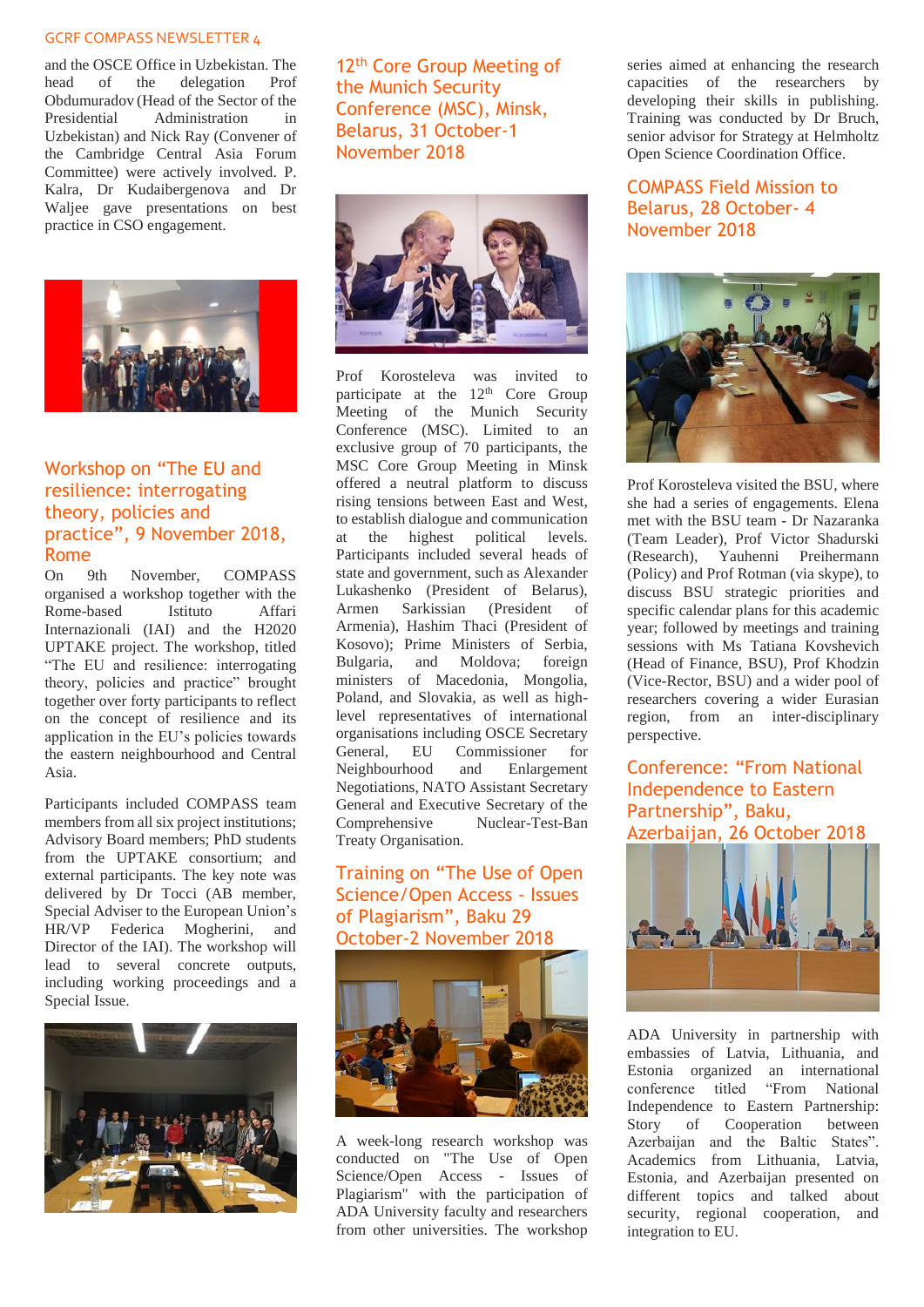and the OSCE Office in Uzbekistan. The head of the delegation Prof Obdumuradov (Head of the Sector of the Presidential Administration in Uzbekistan) and Nick Ray (Convener of the Cambridge Central Asia Forum Committee) were actively involved. P. Kalra, Dr Kudaibergenova and Dr Waljee gave presentations on best practice in CSO engagement.



#### <span id="page-4-0"></span>Workshop on "The EU and resilience: interrogating theory, policies and practice", 9 November 2018, Rome

On 9th November, COMPASS organised a workshop together with the Rome-based Istituto Affari Internazionali (IAI) and the H2020 UPTAKE project. The workshop, titled "The EU and resilience: interrogating theory, policies and practice" brought together over forty participants to reflect on the concept of resilience and its application in the EU's policies towards the eastern neighbourhood and Central Asia.

Participants included COMPASS team members from all six project institutions; Advisory Board members; PhD students from the UPTAKE consortium; and external participants. The key note was delivered by Dr Tocci (AB member, Special Adviser to the European Union's HR/VP Federica Mogherini, and Director of the IAI). The workshop will lead to several concrete outputs, including working proceedings and a Special Issue.



<span id="page-4-1"></span>12<sup>th</sup> Core Group Meeting of the Munich Security Conference (MSC), Minsk, Belarus, 31 October-1 November 2018



Prof Korosteleva was invited to participate at the 12<sup>th</sup> Core Group Meeting of the Munich Security Conference (MSC). Limited to an exclusive group of 70 participants, the MSC Core Group Meeting in Minsk offered a neutral platform to discuss rising tensions between East and West, to establish dialogue and communication at the highest political levels. Participants included several heads of state and government, such as Alexander Lukashenko (President of Belarus), Armen Sarkissian (President of Armenia), Hashim Thaci (President of Kosovo); Prime Ministers of Serbia, Bulgaria, and Moldova; foreign ministers of Macedonia, Mongolia, Poland, and Slovakia, as well as highlevel representatives of international organisations including OSCE Secretary General, EU Commissioner for<br>Neighbourhood and Enlargement Neighbourhood and Negotiations, NATO Assistant Secretary General and Executive Secretary of the Comprehensive Nuclear-Test-Ban Treaty Organisation.

### <span id="page-4-2"></span>Training on "The Use of Open Science/Open Access - Issues of Plagiarism", Baku 29 October-2 November 2018



A week-long research workshop was conducted on "The Use of Open Science/Open Access - Issues of Plagiarism" with the participation of ADA University faculty and researchers from other universities. The workshop

series aimed at enhancing the research capacities of the researchers by developing their skills in publishing. Training was conducted by Dr Bruch, senior advisor for Strategy at Helmholtz Open Science Coordination Office.

<span id="page-4-3"></span>COMPASS Field Mission to Belarus, 28 October- 4 November 2018



Prof Korosteleva visited the BSU, where she had a series of engagements. Elena met with the BSU team - Dr Nazaranka (Team Leader), Prof Victor Shadurski (Research), Yauhenni Preihermann (Policy) and Prof Rotman (via skype), to discuss BSU strategic priorities and specific calendar plans for this academic year; followed by meetings and training sessions with Ms Tatiana Kovshevich (Head of Finance, BSU), Prof Khodzin (Vice-Rector, BSU) and a wider pool of researchers covering a wider Eurasian region, from an inter-disciplinary perspective.

#### <span id="page-4-4"></span>Conference: "From National Independence to Eastern Partnership", Baku, Azerbaijan, 26 October 2018



ADA University in partnership with embassies of Latvia, Lithuania, and Estonia organized an international conference titled "From National Independence to Eastern Partnership: Story of Cooperation between Azerbaijan and the Baltic States". Academics from Lithuania, Latvia, Estonia, and Azerbaijan presented on different topics and talked about security, regional cooperation, and integration to EU.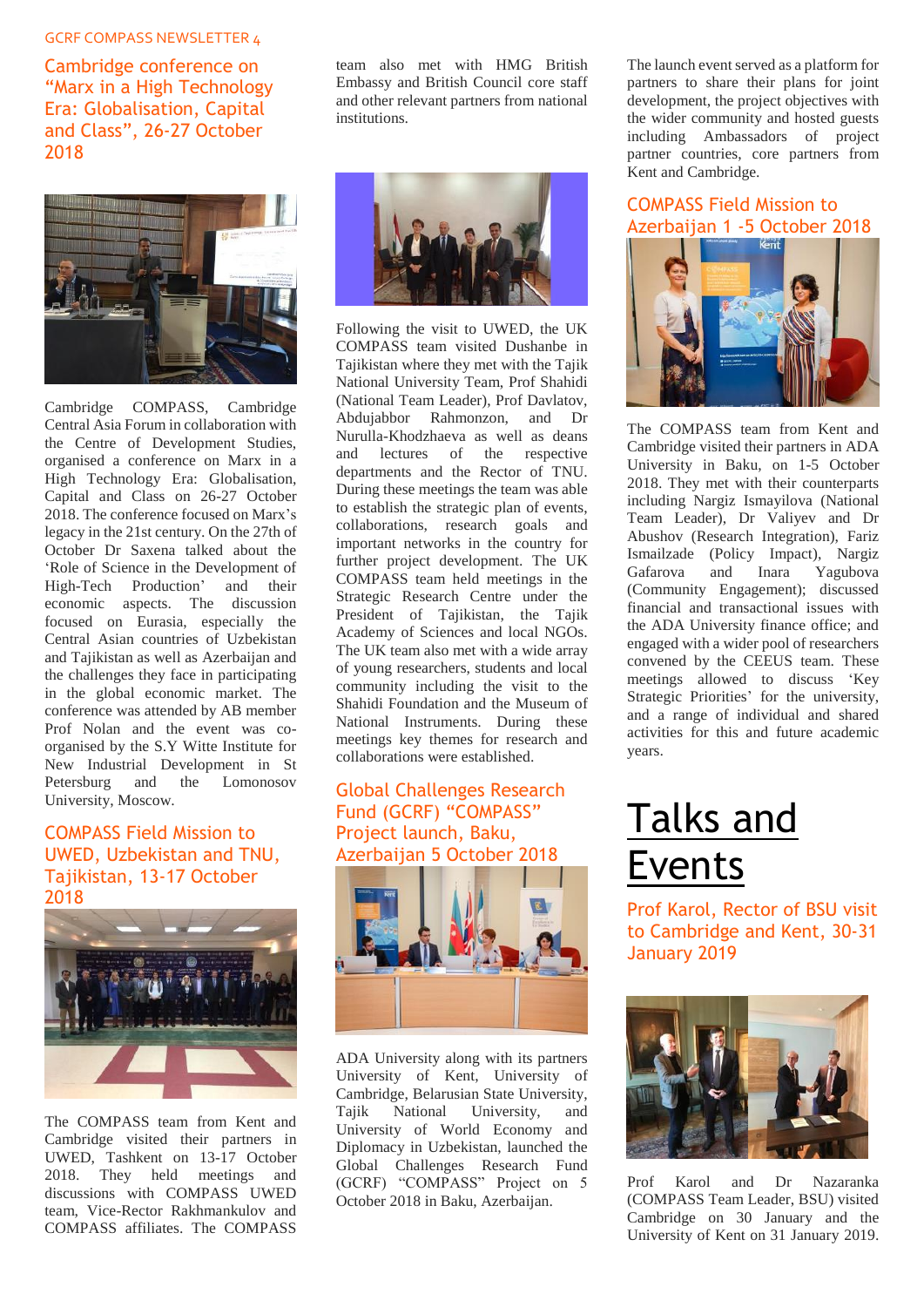<span id="page-5-0"></span>Cambridge conference on "Marx in a High Technology Era: Globalisation, Capital and Class", 26-27 October 2018



Cambridge COMPASS, Cambridge Central Asia Forum in collaboration with the Centre of Development Studies, organised a conference on Marx in a High Technology Era: Globalisation, Capital and Class on 26-27 October 2018. The conference focused on Marx's legacy in the 21st century. On the 27th of October Dr Saxena talked about the 'Role of Science in the Development of High-Tech Production' and their economic aspects. The discussion focused on Eurasia, especially the Central Asian countries of Uzbekistan and Tajikistan as well as Azerbaijan and the challenges they face in participating in the global economic market. The conference was attended by AB member Prof Nolan and the event was coorganised by the S.Y Witte Institute for New Industrial Development in St Petersburg and the Lomonosov University, Moscow.

#### <span id="page-5-1"></span>COMPASS Field Mission to UWED, Uzbekistan and TNU, Tajikistan, 13-17 October 2018



The COMPASS team from Kent and Cambridge visited their partners in UWED, Tashkent on 13-17 October 2018. They held meetings and discussions with COMPASS UWED team, Vice-Rector Rakhmankulov and COMPASS affiliates. The COMPASS

team also met with HMG British Embassy and British Council core staff and other relevant partners from national institutions.



Following the visit to UWED, the UK COMPASS team visited Dushanbe in Tajikistan where they met with the Tajik National University Team, Prof Shahidi (National Team Leader), Prof Davlatov, Abdujabbor Rahmonzon, and Dr Nurulla-Khodzhaeva as well as deans and lectures of the respective departments and the Rector of TNU. During these meetings the team was able to establish the strategic plan of events, collaborations, research goals and important networks in the country for further project development. The UK COMPASS team held meetings in the Strategic Research Centre under the President of Tajikistan, the Tajik Academy of Sciences and local NGOs. The UK team also met with a wide array of young researchers, students and local community including the visit to the Shahidi Foundation and the Museum of National Instruments. During these meetings key themes for research and collaborations were established.

#### <span id="page-5-2"></span>Global Challenges Research Fund (GCRF) "COMPASS" Project launch, Baku, Azerbaijan 5 October 2018

![](_page_5_Picture_11.jpeg)

ADA University along with its partners University of Kent, University of Cambridge, Belarusian State University, Tajik National University, and University of World Economy and Diplomacy in Uzbekistan, launched the Global Challenges Research Fund (GCRF) "COMPASS" Project on 5 October 2018 in Baku, Azerbaijan.

The launch event served as a platform for partners to share their plans for joint development, the project objectives with the wider community and hosted guests including Ambassadors of project partner countries, core partners from Kent and Cambridge.

## <span id="page-5-3"></span>COMPASS Field Mission to Azerbaijan 1 -5 October 2018

![](_page_5_Picture_15.jpeg)

The COMPASS team from Kent and Cambridge visited their partners in ADA University in Baku, on 1-5 October 2018. They met with their counterparts including Nargiz Ismayilova (National Team Leader), Dr Valiyev and Dr Abushov (Research Integration), Fariz Ismailzade (Policy Impact), Nargiz Gafarova and Inara Yagubova (Community Engagement); discussed financial and transactional issues with the ADA University finance office; and engaged with a wider pool of researchers convened by the CEEUS team. These meetings allowed to discuss 'Key Strategic Priorities' for the university, and a range of individual and shared activities for this and future academic years.

## <span id="page-5-4"></span>Talks and Events

<span id="page-5-5"></span>Prof Karol, Rector of BSU visit to Cambridge and Kent, 30-31 January 2019

![](_page_5_Picture_19.jpeg)

Prof Karol and Dr Nazaranka (COMPASS Team Leader, BSU) visited Cambridge on 30 January and the University of Kent on 31 January 2019.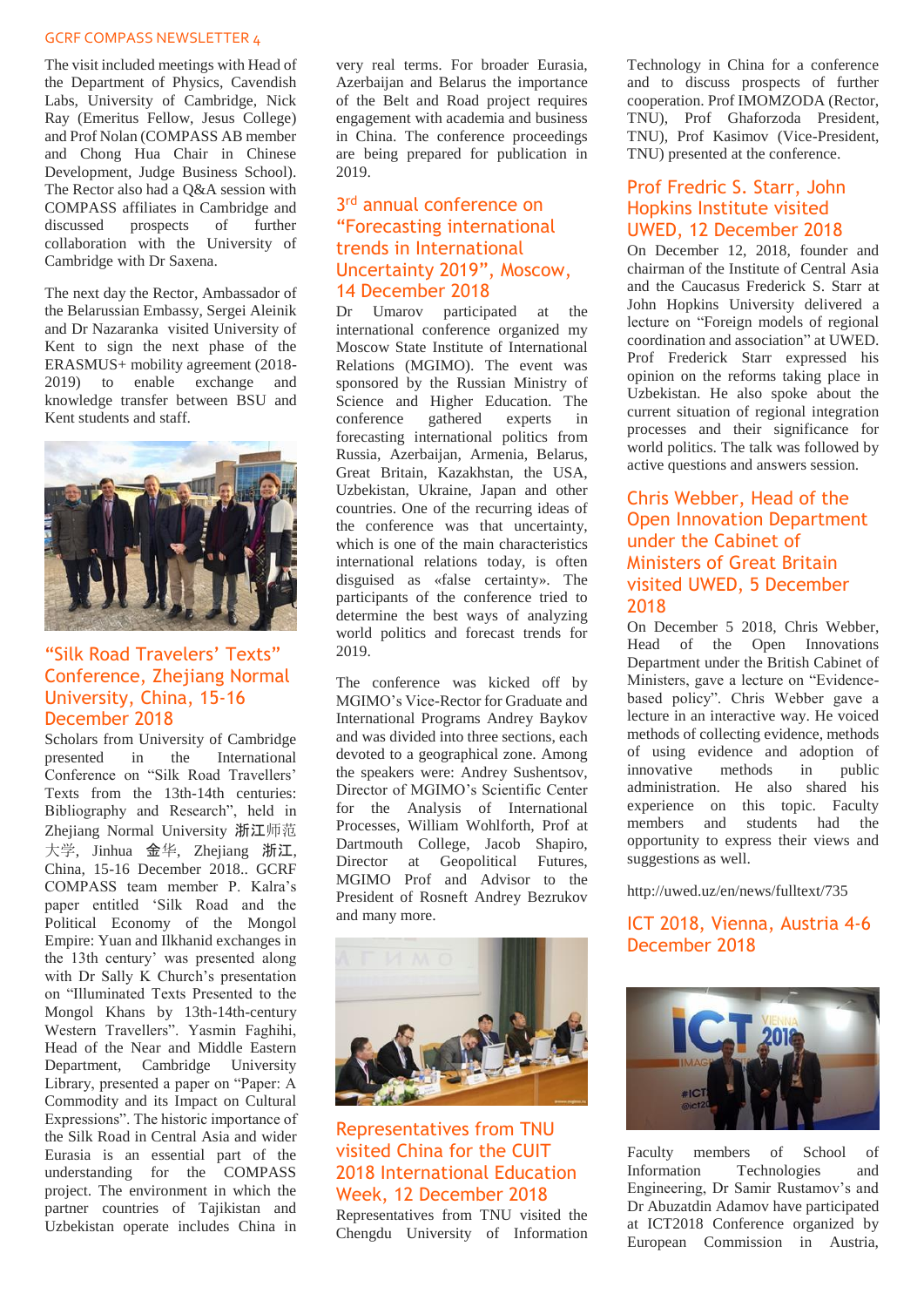The visit included meetings with Head of the Department of Physics, Cavendish Labs, University of Cambridge, Nick Ray (Emeritus Fellow, Jesus College) and Prof Nolan (COMPASS AB member and Chong Hua Chair in Chinese Development, Judge Business School). The Rector also had a Q&A session with COMPASS affiliates in Cambridge and discussed prospects of further collaboration with the University of Cambridge with Dr Saxena.

The next day the Rector, Ambassador of the Belarussian Embassy, Sergei Aleinik and Dr Nazaranka visited University of Kent to sign the next phase of the ERASMUS+ mobility agreement (2018- 2019) to enable exchange and knowledge transfer between BSU and Kent students and staff.

![](_page_6_Picture_3.jpeg)

#### <span id="page-6-0"></span>"Silk Road Travelers' Texts" Conference, Zhejiang Normal University, China, 15-16 December 2018

Scholars from University of Cambridge presented in the International Conference on "Silk Road Travellers' Texts from the 13th-14th centuries: Bibliography and Research", held in Zhejiang Normal University 浙江师范 大学, Jinhua 金华, Zhejiang 浙江, China, 15-16 December 2018.. GCRF COMPASS team member P. Kalra's paper entitled 'Silk Road and the Political Economy of the Mongol Empire: Yuan and Ilkhanid exchanges in the 13th century' was presented along with Dr Sally K Church's presentation on "Illuminated Texts Presented to the Mongol Khans by 13th-14th-century Western Travellers". Yasmin Faghihi, Head of the Near and Middle Eastern Department, Cambridge University Library, presented a paper on "Paper: A Commodity and its Impact on Cultural Expressions". The historic importance of the Silk Road in Central Asia and wider Eurasia is an essential part of the understanding for the COMPASS project. The environment in which the partner countries of Tajikistan and Uzbekistan operate includes China in

very real terms. For broader Eurasia, Azerbaijan and Belarus the importance of the Belt and Road project requires engagement with academia and business in China. The conference proceedings are being prepared for publication in 2019.

#### <span id="page-6-1"></span>3 rd annual conference on "Forecasting international trends in International Uncertainty 2019", Moscow, 14 December 2018

Dr Umarov participated at the international conference organized my Moscow State Institute of International Relations (MGIMO). The event was sponsored by the Russian Ministry of Science and Higher Education. The conference gathered experts in forecasting international politics from Russia, Azerbaijan, Armenia, Belarus, Great Britain, Kazakhstan, the USA, Uzbekistan, Ukraine, Japan and other countries. One of the recurring ideas of the conference was that uncertainty, which is one of the main characteristics international relations today, is often disguised as «false certainty». The participants of the conference tried to determine the best ways of analyzing world politics and forecast trends for 2019.

The conference was kicked off by MGIMO's Vice-Rector for Graduate and International Programs Andrey Baykov and was divided into three sections, each devoted to a geographical zone. Among the speakers were: Andrey Sushentsov, Director of MGIMO's Scientific Center for the Analysis of International Processes, William Wohlforth, Prof at Dartmouth College, Jacob Shapiro, Director at Geopolitical Futures, MGIMO Prof and Advisor to the President of Rosneft Andrey Bezrukov and many more.

![](_page_6_Picture_10.jpeg)

#### <span id="page-6-2"></span>Representatives from TNU visited China for the CUIT 2018 International Education Week, 12 December 2018

Representatives from TNU visited the Chengdu University of Information Technology in China for a conference and to discuss prospects of further cooperation. Prof IMOMZODA (Rector, TNU), Prof Ghaforzoda President, TNU), Prof Kasimov (Vice-President, TNU) presented at the conference.

#### <span id="page-6-3"></span>Prof Fredric S. Starr, John Hopkins Institute visited UWED, 12 December 2018

On December 12, 2018, founder and chairman of the Institute of Central Asia and the Caucasus Frederick S. Starr at John Hopkins University delivered a lecture on "Foreign models of regional coordination and association" at UWED. Prof Frederick Starr expressed his opinion on the reforms taking place in Uzbekistan. He also spoke about the current situation of regional integration processes and their significance for world politics. The talk was followed by active questions and answers session.

#### <span id="page-6-4"></span>Chris Webber, Head of the Open Innovation Department under the Cabinet of Ministers of Great Britain visited UWED, 5 December 2018

On December 5 2018, Chris Webber, Head of the Open Innovations Department under the British Cabinet of Ministers, gave a lecture on "Evidencebased policy". Chris Webber gave a lecture in an interactive way. He voiced methods of collecting evidence, methods of using evidence and adoption of innovative methods in public administration. He also shared his experience on this topic. Faculty members and students had the opportunity to express their views and suggestions as well.

<http://uwed.uz/en/news/fulltext/735>

#### <span id="page-6-5"></span>ICT 2018, Vienna, Austria 4-6 December 2018

![](_page_6_Picture_20.jpeg)

Faculty members of School of Information Technologies and Engineering, Dr Samir Rustamov's and Dr Abuzatdin Adamov have participated at ICT2018 Conference organized by European Commission in Austria,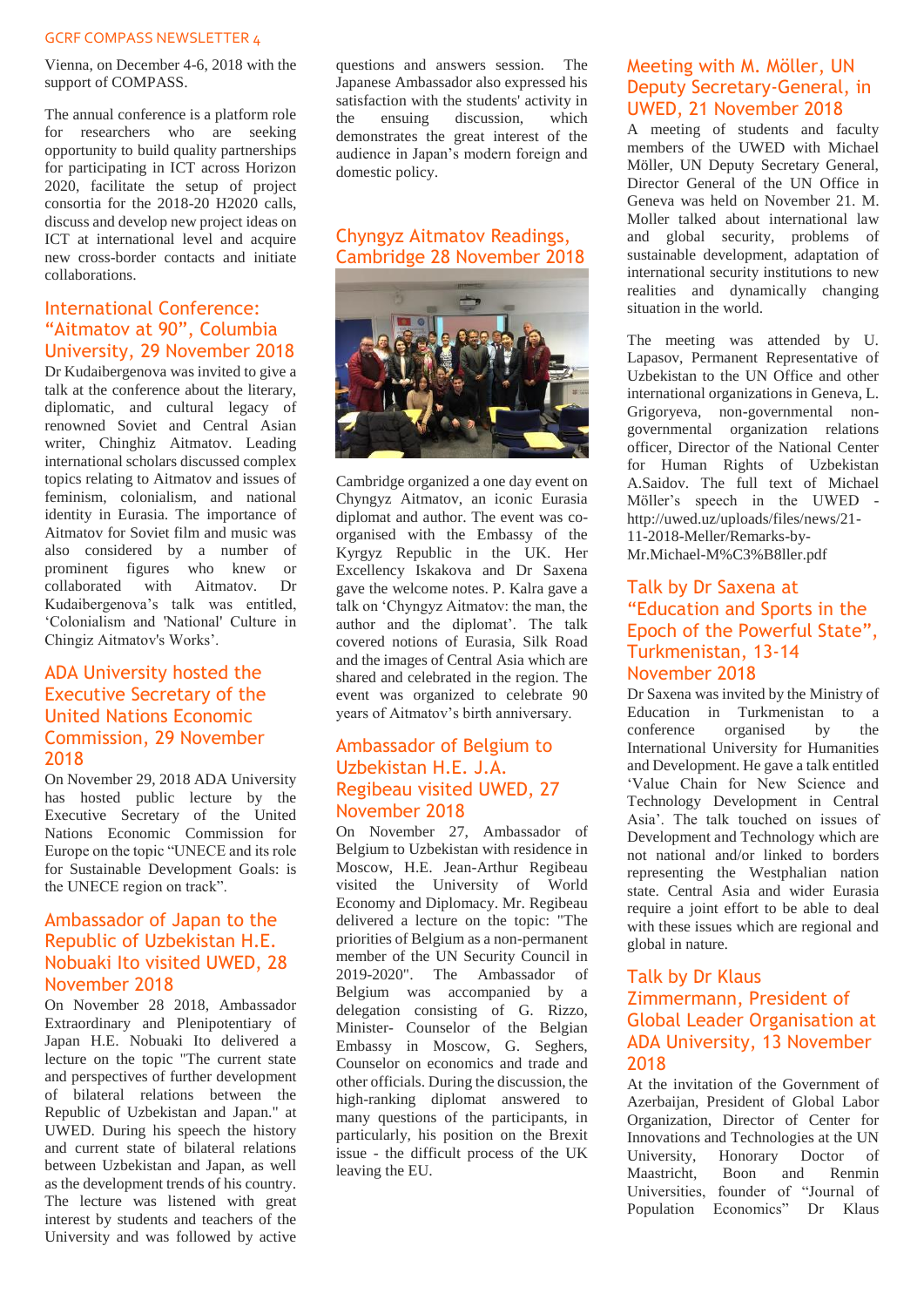Vienna, on December 4-6, 2018 with the support of COMPASS.

The annual conference is a platform role for researchers who are seeking opportunity to build quality partnerships for participating in ICT across Horizon 2020, facilitate the setup of project consortia for the 2018-20 H2020 calls, discuss and develop new project ideas on ICT at international level and acquire new cross-border contacts and initiate collaborations.

#### <span id="page-7-0"></span>International Conference: "Aitmatov at 90", Columbia University, 29 November 2018

Dr Kudaibergenova was invited to give a talk at the conference about the literary, diplomatic, and cultural legacy of renowned Soviet and Central Asian writer, Chinghiz Aitmatov. Leading international scholars discussed complex topics relating to Aitmatov and issues of feminism, colonialism, and national identity in Eurasia. The importance of Aitmatov for Soviet film and music was also considered by a number of prominent figures who knew or collaborated with Aitmatov. Dr Kudaibergenova's talk was entitled, 'Colonialism and 'National' Culture in Chingiz Aitmatov's Works'.

#### <span id="page-7-1"></span>ADA University hosted the Executive Secretary of the United Nations Economic Commission, 29 November 2018

On November 29, 2018 ADA University has hosted public lecture by the Executive Secretary of the United Nations Economic Commission for Europe on the topic "UNECE and its role for Sustainable Development Goals: is the UNECE region on track".

#### <span id="page-7-2"></span>Ambassador of Japan to the Republic of Uzbekistan H.E. Nobuaki Ito visited UWED, 28 November 2018

On November 28 2018, Ambassador Extraordinary and Plenipotentiary of Japan H.E. Nobuaki Ito delivered a lecture on the topic "The current state and perspectives of further development of bilateral relations between the Republic of Uzbekistan and Japan." at UWED. During his speech the history and current state of bilateral relations between Uzbekistan and Japan, as well as the development trends of his country. The lecture was listened with great interest by students and teachers of the University and was followed by active

questions and answers session. The Japanese Ambassador also expressed his satisfaction with the students' activity in the ensuing discussion, which demonstrates the great interest of the audience in Japan's modern foreign and domestic policy.

#### <span id="page-7-3"></span>Chyngyz Aitmatov Readings, Cambridge 28 November 2018

![](_page_7_Picture_11.jpeg)

Cambridge organized a one day event on Chyngyz Aitmatov, an iconic Eurasia diplomat and author. The event was coorganised with the Embassy of the Kyrgyz Republic in the UK. Her Excellency Iskakova and Dr Saxena gave the welcome notes. P. Kalra gave a talk on 'Chyngyz Aitmatov: the man, the author and the diplomat'. The talk covered notions of Eurasia, Silk Road and the images of Central Asia which are shared and celebrated in the region. The event was organized to celebrate 90 years of Aitmatov's birth anniversary.

#### <span id="page-7-4"></span>Ambassador of Belgium to Uzbekistan H.E. J.A. Regibeau visited UWED, 27 November 2018

On November 27, Ambassador of Belgium to Uzbekistan with residence in Moscow, H.E. Jean-Arthur Regibeau visited the University of World Economy and Diplomacy. Mr. Regibeau delivered a lecture on the topic: "The priorities of Belgium as a non-permanent member of the UN Security Council in 2019-2020". The Ambassador of Belgium was accompanied by a delegation consisting of G. Rizzo, Minister- Counselor of the Belgian Embassy in Moscow, G. Seghers, Counselor on economics and trade and other officials. During the discussion, the high-ranking diplomat answered to many questions of the participants, in particularly, his position on the Brexit issue - the difficult process of the UK leaving the EU.

#### <span id="page-7-5"></span>Meeting with M. Möller, UN Deputy Secretary-General, in UWED, 21 November 2018

A meeting of students and faculty members of the UWED with Michael Möller, UN Deputy Secretary General, Director General of the UN Office in Geneva was held on November 21. M. Moller talked about international law and global security, problems of sustainable development, adaptation of international security institutions to new realities and dynamically changing situation in the world.

The meeting was attended by U. Lapasov, Permanent Representative of Uzbekistan to the UN Office and other international organizations in Geneva, L. Grigoryeva, non-governmental nongovernmental organization relations officer, Director of the National Center for Human Rights of Uzbekistan A.Saidov. The full text of Michael Möller's speech in the UWED [http://uwed.uz/uploads/files/news/21-](http://uwed.uz/uploads/files/news/21-11-2018-Meller/Remarks-by-Mr.Michael-M%C3%B8ller.pdf) [11-2018-Meller/Remarks-by-](http://uwed.uz/uploads/files/news/21-11-2018-Meller/Remarks-by-Mr.Michael-M%C3%B8ller.pdf)

#### [Mr.Michael-M%C3%B8ller.pdf](http://uwed.uz/uploads/files/news/21-11-2018-Meller/Remarks-by-Mr.Michael-M%C3%B8ller.pdf)

#### <span id="page-7-6"></span>Talk by Dr Saxena at "Education and Sports in the Epoch of the Powerful State", Turkmenistan, 13-14 November 2018

Dr Saxena was invited by the Ministry of Education in Turkmenistan to a conference organised by the International University for Humanities and Development. He gave a talk entitled 'Value Chain for New Science and Technology Development in Central Asia'. The talk touched on issues of Development and Technology which are not national and/or linked to borders representing the Westphalian nation state. Central Asia and wider Eurasia require a joint effort to be able to deal with these issues which are regional and global in nature.

#### <span id="page-7-7"></span>Talk by Dr Klaus Zimmermann, President of Global Leader Organisation at ADA University, 13 November 2018

At the invitation of the Government of Azerbaijan, President of Global Labor Organization, Director of Center for Innovations and Technologies at the UN University, Honorary Doctor of<br>Maastricht, Boon and Renmin Maastricht, Boon and Renmin Universities, founder of "Journal of Population Economics" Dr Klaus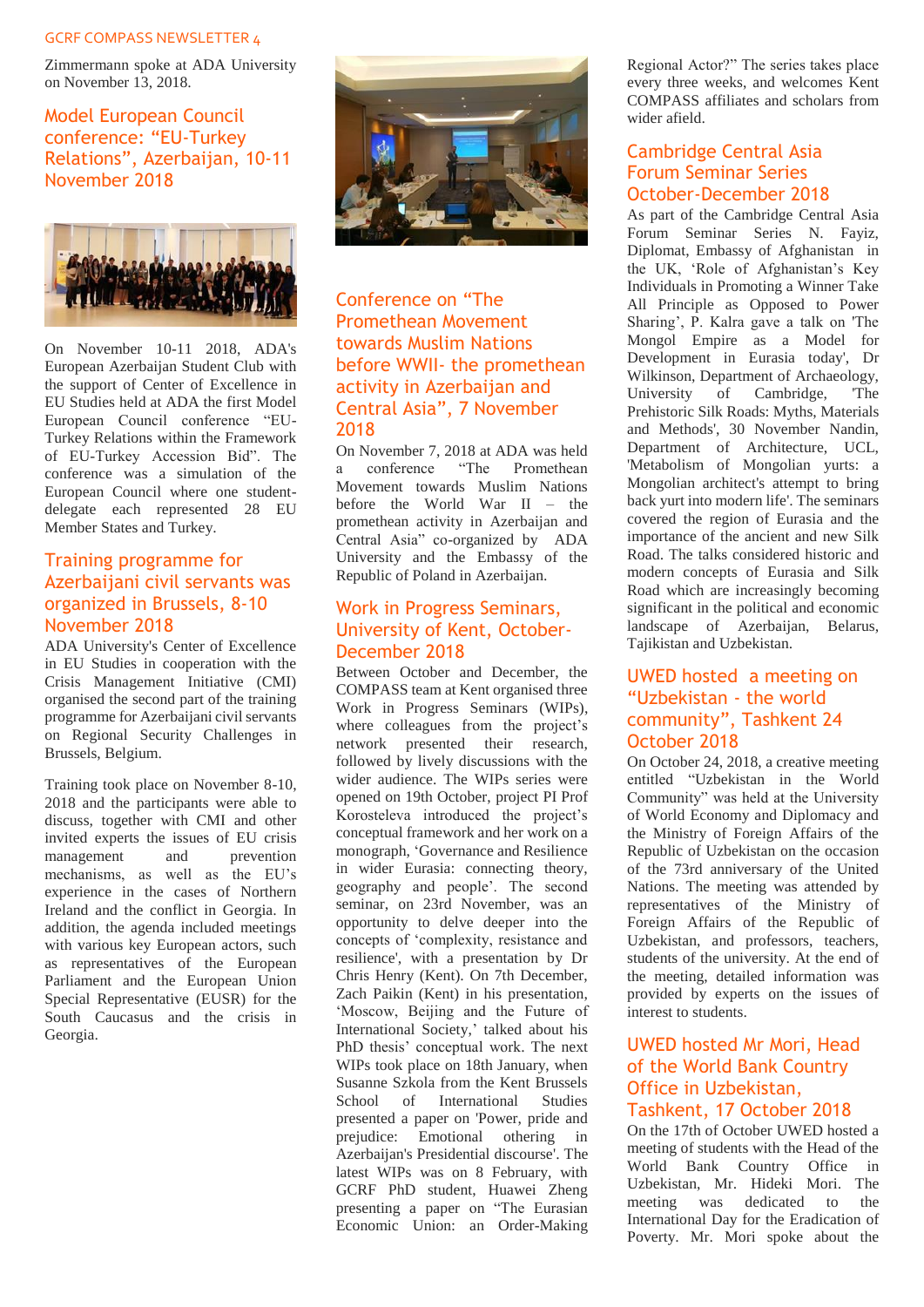Zimmermann spoke at ADA University on November 13, 2018.

<span id="page-8-0"></span>Model European Council conference: "EU-Turkey Relations", Azerbaijan, 10-11 November 2018

![](_page_8_Picture_3.jpeg)

On November 10-11 2018, ADA's European Azerbaijan Student Club with the support of Center of Excellence in EU Studies held at ADA the first Model European Council conference "EU-Turkey Relations within the Framework of EU-Turkey Accession Bid". The conference was a simulation of the European Council where one studentdelegate each represented 28 EU Member States and Turkey.

#### <span id="page-8-1"></span>Training programme for Azerbaijani civil servants was organized in Brussels, 8-10 November 2018

ADA University's Center of Excellence in EU Studies in cooperation with the Crisis Management Initiative (CMI) organised the second part of the training programme for Azerbaijani civil servants on Regional Security Challenges in Brussels, Belgium.

Training took place on November 8-10, 2018 and the participants were able to discuss, together with CMI and other invited experts the issues of EU crisis management mechanisms, as well as the EU's experience in the cases of Northern Ireland and the conflict in Georgia. In addition, the agenda included meetings with various key European actors, such as representatives of the European Parliament and the European Union Special Representative (EUSR) for the South Caucasus and the crisis in Georgia.

![](_page_8_Picture_8.jpeg)

#### <span id="page-8-2"></span>Conference on "The Promethean Movement towards Muslim Nations before WWII- the promethean activity in Azerbaijan and Central Asia", 7 November 2018

On November 7, 2018 at ADA was held a conference "The Promethean Movement towards Muslim Nations before the World War II – the promethean activity in Azerbaijan and Central Asia" co-organized by ADA University and the Embassy of the Republic of Poland in Azerbaijan.

#### <span id="page-8-3"></span>Work in Progress Seminars, University of Kent, October-December 2018

Between October and December, the COMPASS team at Kent organised three Work in Progress Seminars (WIPs), where colleagues from the project's network presented their research, followed by lively discussions with the wider audience. The WIPs series were opened on 19th October, project PI Prof Korosteleva introduced the project's conceptual framework and her work on a monograph, 'Governance and Resilience in wider Eurasia: connecting theory, geography and people'. The second seminar, on 23rd November, was an opportunity to delve deeper into the concepts of 'complexity, resistance and resilience', with a presentation by Dr Chris Henry (Kent). On 7th December, Zach Paikin (Kent) in his presentation, 'Moscow, Beijing and the Future of International Society,' talked about his PhD thesis' conceptual work. The next WIPs took place on 18th January, when Susanne Szkola from the Kent Brussels School of International Studies presented a paper on 'Power, pride and prejudice: Emotional othering in Azerbaijan's Presidential discourse'. The latest WIPs was on 8 February, with GCRF PhD student, Huawei Zheng presenting a paper on "The Eurasian Economic Union: an Order-Making Regional Actor?" The series takes place every three weeks, and welcomes Kent COMPASS affiliates and scholars from wider afield.

#### <span id="page-8-4"></span>Cambridge Central Asia Forum Seminar Series October-December 2018

As part of the Cambridge Central Asia Forum Seminar Series N. Fayiz, Diplomat, Embassy of Afghanistan in the UK, 'Role of Afghanistan's Key Individuals in Promoting a Winner Take All Principle as Opposed to Power Sharing', P. Kalra gave a talk on 'The Mongol Empire as a Model for Development in Eurasia today', Dr Wilkinson, Department of Archaeology, University of Cambridge, 'The Prehistoric Silk Roads: Myths, Materials and Methods', 30 November Nandin, Department of Architecture, UCL, 'Metabolism of Mongolian yurts: a Mongolian architect's attempt to bring back yurt into modern life'. The seminars covered the region of Eurasia and the importance of the ancient and new Silk Road. The talks considered historic and modern concepts of Eurasia and Silk Road which are increasingly becoming significant in the political and economic landscape of Azerbaijan, Belarus, Tajikistan and Uzbekistan.

#### <span id="page-8-5"></span>UWED hosted a meeting on "Uzbekistan - the world community", Tashkent 24 October 2018

On October 24, 2018, a creative meeting entitled "Uzbekistan in the World Community" was held at the University of World Economy and Diplomacy and the Ministry of Foreign Affairs of the Republic of Uzbekistan on the occasion of the 73rd anniversary of the United Nations. The meeting was attended by representatives of the Ministry of Foreign Affairs of the Republic of Uzbekistan, and professors, teachers, students of the university. At the end of the meeting, detailed information was provided by experts on the issues of interest to students.

#### <span id="page-8-6"></span>UWED hosted Mr Mori, Head of the World Bank Country Office in Uzbekistan, Tashkent, 17 October 2018

On the 17th of October UWED hosted a meeting of students with the Head of the World Bank Country Office in Uzbekistan, Mr. Hideki Mori. The meeting was dedicated to the International Day for the Eradication of Poverty. Mr. Mori spoke about the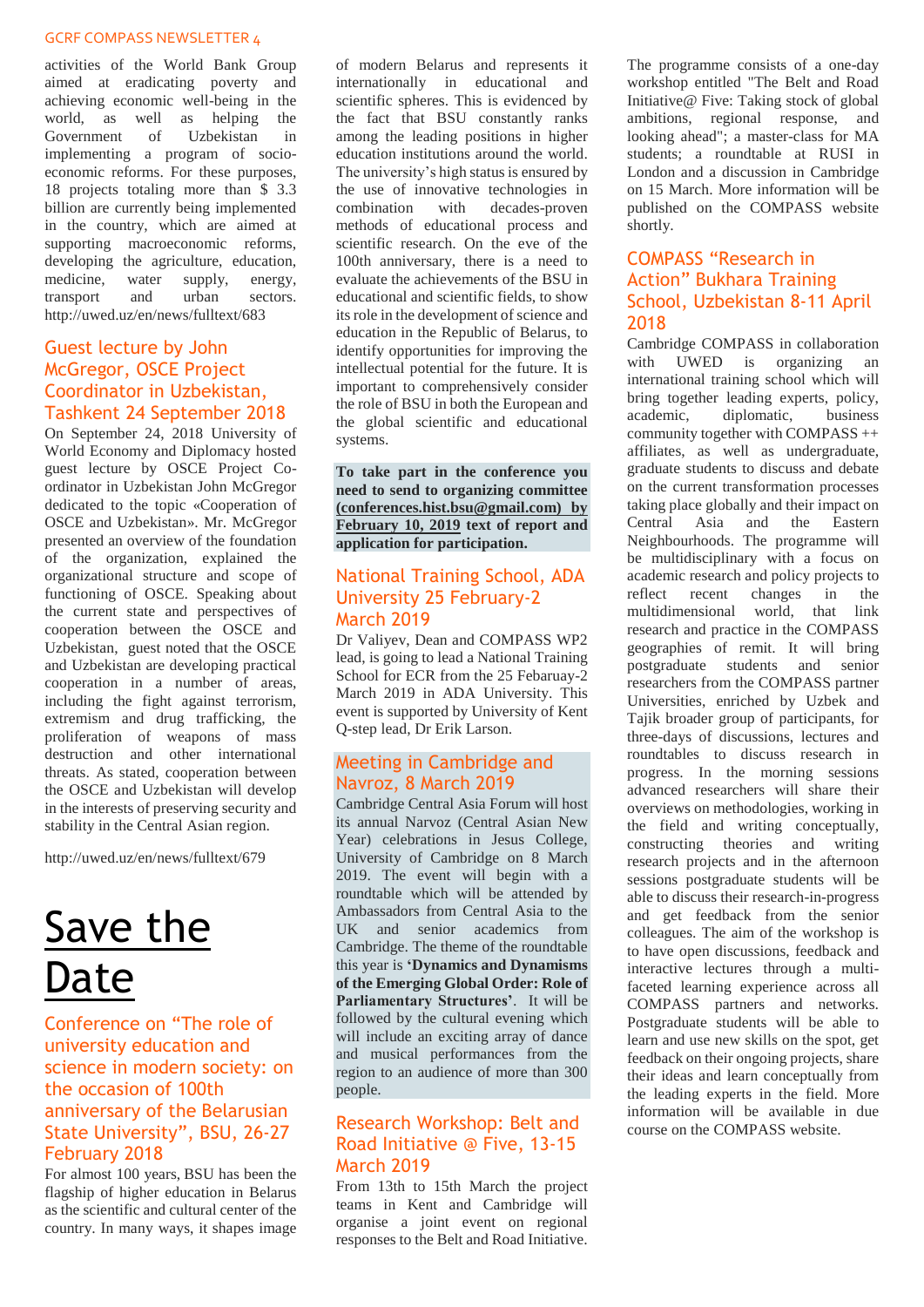activities of the World Bank Group aimed at eradicating poverty and achieving economic well-being in the world, as well as helping the Government of Uzbekistan in implementing a program of socioeconomic reforms. For these purposes, 18 projects totaling more than \$ 3.3 billion are currently being implemented in the country, which are aimed at supporting macroeconomic reforms, developing the agriculture, education, medicine, water supply, energy, transport and urban sectors. <http://uwed.uz/en/news/fulltext/683>

#### <span id="page-9-0"></span>Guest lecture by John McGregor, OSCE Project Coordinator in Uzbekistan, Tashkent 24 September 2018

On September 24, 2018 University of World Economy and Diplomacy hosted guest lecture by OSCE Project Coordinator in Uzbekistan John McGregor dedicated to the topic «Cooperation of OSCE and Uzbekistan». Mr. McGregor presented an overview of the foundation of the organization, explained the organizational structure and scope of functioning of OSCE. Speaking about the current state and perspectives of cooperation between the OSCE and Uzbekistan, guest noted that the OSCE and Uzbekistan are developing practical cooperation in a number of areas, including the fight against terrorism, extremism and drug trafficking, the proliferation of weapons of mass destruction and other international threats. As stated, cooperation between the OSCE and Uzbekistan will develop in the interests of preserving security and stability in the Central Asian region.

<http://uwed.uz/en/news/fulltext/679>

## <span id="page-9-1"></span>Save the Date

#### <span id="page-9-2"></span>Conference on "The role of university education and science in modern society: on the occasion of 100th anniversary of the Belarusian State University", BSU, 26-27 February 2018

For almost 100 years, BSU has been the flagship of higher education in Belarus as the scientific and cultural center of the country. In many ways, it shapes image

of modern Belarus and represents it internationally in educational and scientific spheres. This is evidenced by the fact that BSU constantly ranks among the leading positions in higher education institutions around the world. The university's high status is ensured by the use of innovative technologies in combination with decades-proven methods of educational process and scientific research. On the eve of the 100th anniversary, there is a need to evaluate the achievements of the BSU in educational and scientific fields, to show its role in the development of science and education in the Republic of Belarus, to identify opportunities for improving the intellectual potential for the future. It is important to comprehensively consider the role of BSU in both the European and the global scientific and educational systems.

**To take part in the conference you need to send to organizing committee (conferences.hist.bsu@gmail.com) by February 10, 2019 text of report and application for participation.**

#### <span id="page-9-3"></span>National Training School, ADA University 25 February-2 March 2019

Dr Valiyev, Dean and COMPASS WP2 lead, is going to lead a National Training School for ECR from the 25 Febaruay-2 March 2019 in ADA University. This event is supported by University of Kent Q-step lead, Dr Erik Larson.

#### <span id="page-9-4"></span>Meeting in Cambridge and Navroz, 8 March 2019

Cambridge Central Asia Forum will host its annual Narvoz (Central Asian New Year) celebrations in Jesus College, University of Cambridge on 8 March 2019. The event will begin with a roundtable which will be attended by Ambassadors from Central Asia to the UK and senior academics from Cambridge. The theme of the roundtable this year is **'Dynamics and Dynamisms of the Emerging Global Order: Role of Parliamentary Structures'**. It will be followed by the cultural evening which will include an exciting array of dance and musical performances from the region to an audience of more than 300 people.

#### <span id="page-9-5"></span>Research Workshop: Belt and Road Initiative @ Five, 13-15 March 2019

From 13th to 15th March the project teams in Kent and Cambridge will organise a joint event on regional responses to the Belt and Road Initiative. The programme consists of a one-day workshop entitled "The Belt and Road Initiative@ Five: Taking stock of global ambitions, regional response, and looking ahead"; a master-class for MA students; a roundtable at RUSI in London and a discussion in Cambridge on 15 March. More information will be published on the COMPASS website shortly.

#### <span id="page-9-6"></span>COMPASS "Research in Action" Bukhara Training School, Uzbekistan 8-11 April 2018

Cambridge COMPASS in collaboration with UWED is organizing an international training school which will bring together leading experts, policy, academic, diplomatic, business community together with COMPASS ++ affiliates, as well as undergraduate, graduate students to discuss and debate on the current transformation processes taking place globally and their impact on Central Asia and the Eastern Neighbourhoods. The programme will be multidisciplinary with a focus on academic research and policy projects to reflect recent changes in the multidimensional world, that link research and practice in the COMPASS geographies of remit. It will bring postgraduate students and senior researchers from the COMPASS partner Universities, enriched by Uzbek and Tajik broader group of participants, for three-days of discussions, lectures and roundtables to discuss research in progress. In the morning sessions advanced researchers will share their overviews on methodologies, working in the field and writing conceptually, constructing theories and writing research projects and in the afternoon sessions postgraduate students will be able to discuss their research-in-progress and get feedback from the senior colleagues. The aim of the workshop is to have open discussions, feedback and interactive lectures through a multifaceted learning experience across all COMPASS partners and networks. Postgraduate students will be able to learn and use new skills on the spot, get feedback on their ongoing projects, share their ideas and learn conceptually from the leading experts in the field. More information will be available in due course on the COMPASS website.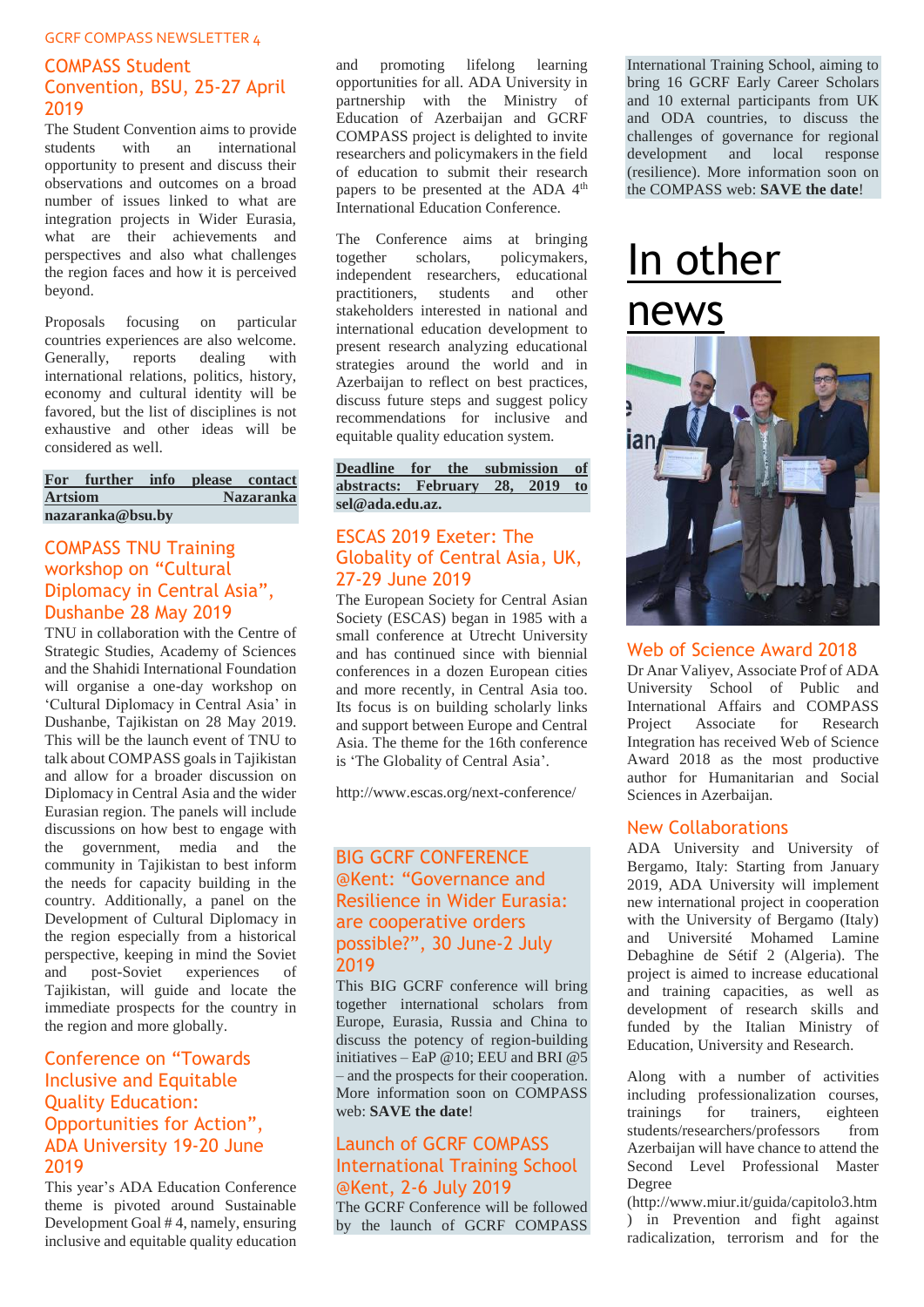### <span id="page-10-0"></span>COMPASS Student Convention, BSU, 25-27 April 2019

The Student Convention aims to provide students with an international opportunity to present and discuss their observations and outcomes on a broad number of issues linked to what are integration projects in Wider Eurasia, what are their achievements and perspectives and also what challenges the region faces and how it is perceived beyond.

Proposals focusing on particular countries experiences are also welcome. Generally, reports dealing with international relations, politics, history, economy and cultural identity will be favored, but the list of disciplines is not exhaustive and other ideas will be considered as well.

|                  | For further info please contact |                  |  |  |  |  |  |
|------------------|---------------------------------|------------------|--|--|--|--|--|
| <b>Artsiom</b>   |                                 | <b>Nazaranka</b> |  |  |  |  |  |
| nazaranka@bsu.bv |                                 |                  |  |  |  |  |  |

#### <span id="page-10-1"></span>COMPASS TNU Training workshop on "Cultural Diplomacy in Central Asia", Dushanbe 28 May 2019

TNU in collaboration with the Centre of Strategic Studies, Academy of Sciences and the Shahidi International Foundation will organise a one-day workshop on 'Cultural Diplomacy in Central Asia' in Dushanbe, Tajikistan on 28 May 2019. This will be the launch event of TNU to talk about COMPASS goals in Tajikistan and allow for a broader discussion on Diplomacy in Central Asia and the wider Eurasian region. The panels will include discussions on how best to engage with the government, media and the community in Tajikistan to best inform the needs for capacity building in the country. Additionally, a panel on the Development of Cultural Diplomacy in the region especially from a historical perspective, keeping in mind the Soviet and post-Soviet experiences of Tajikistan, will guide and locate the immediate prospects for the country in the region and more globally.

### <span id="page-10-2"></span>Conference on "Towards Inclusive and Equitable Quality Education: Opportunities for Action", ADA University 19-20 June 2019

This year's ADA Education Conference theme is pivoted around Sustainable Development Goal # 4, namely, ensuring inclusive and equitable quality education

and promoting lifelong learning opportunities for all. ADA University in partnership with the Ministry of Education of Azerbaijan and GCRF COMPASS project is delighted to invite researchers and policymakers in the field of education to submit their research papers to be presented at the ADA 4<sup>th</sup> International Education Conference.

The Conference aims at bringing together scholars, policymakers, independent researchers, educational practitioners, students and other stakeholders interested in national and international education development to present research analyzing educational strategies around the world and in Azerbaijan to reflect on best practices, discuss future steps and suggest policy recommendations for inclusive and equitable quality education system.

**Deadline for the submission of abstracts: February 28, 2019 to [sel@ada.edu.az.](file:///C:/Users/kj209/AppData/Local/Microsoft/Windows/Temporary%20Internet%20Files/Content.Outlook/AAEWA0ZM/sel@ada.edu.az)**

## <span id="page-10-3"></span>ESCAS 2019 Exeter: The Globality of Central Asia, UK, 27-29 June 2019

The European Society for Central Asian Society (ESCAS) began in 1985 with a small conference at Utrecht University and has continued since with biennial conferences in a dozen European cities and more recently, in Central Asia too. Its focus is on building scholarly links and support between Europe and Central Asia. The theme for the 16th conference is 'The Globality of Central Asia'.

<http://www.escas.org/next-conference/>

#### <span id="page-10-4"></span>BIG GCRF CONFERENCE @Kent: "Governance and Resilience in Wider Eurasia: are cooperative orders possible?", 30 June-2 July 2019

This BIG GCRF conference will bring together international scholars from Europe, Eurasia, Russia and China to discuss the potency of region-building initiatives – EaP @10; EEU and BRI @5 – and the prospects for their cooperation. More information soon on COMPASS web: **SAVE the date**!

### <span id="page-10-5"></span>Launch of GCRF COMPASS International Training School @Kent, 2-6 July 2019

The GCRF Conference will be followed by the launch of GCRF COMPASS International Training School, aiming to bring 16 GCRF Early Career Scholars and 10 external participants from UK and ODA countries, to discuss the challenges of governance for regional development and local response (resilience). More information soon on the COMPASS web: **SAVE the date**!

## <span id="page-10-6"></span>In other news

![](_page_10_Picture_21.jpeg)

## <span id="page-10-7"></span>Web of Science Award 2018

Dr Anar Valiyev, Associate Prof of ADA University School of Public and International Affairs and COMPASS Project Associate for Research Integration has received Web of Science Award 2018 as the most productive author for Humanitarian and Social Sciences in Azerbaijan.

## <span id="page-10-8"></span>New Collaborations

ADA University and University of Bergamo, Italy: Starting from January 2019, ADA University will implement new international project in cooperation with the University of Bergamo (Italy) and Université Mohamed Lamine Debaghine de Sétif 2 (Algeria). The project is aimed to increase educational and training capacities, as well as development of research skills and funded by the Italian Ministry of Education, University and Research.

Along with a number of activities including professionalization courses, trainings for trainers, eighteen students/researchers/professors from Azerbaijan will have chance to attend the Second Level Professional Master Degree

(http://www.miur.it/guida/capitolo3.htm ) in Prevention and fight against radicalization, terrorism and for the